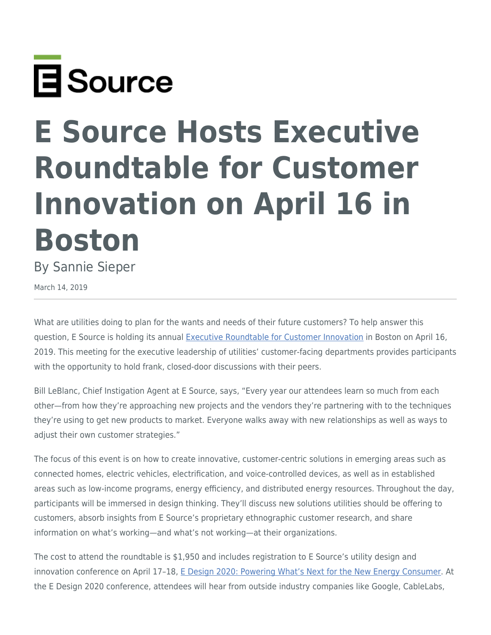

## **E Source Hosts Executive Roundtable for Customer Innovation on April 16 in Boston**

By Sannie Sieper

March 14, 2019

What are utilities doing to plan for the wants and needs of their future customers? To help answer this question, E Source is holding its annual [Executive Roundtable for Customer Innovation](https://www.esource.com/design-thinking-2019) in Boston on April 16, 2019. This meeting for the executive leadership of utilities' customer-facing departments provides participants with the opportunity to hold frank, closed-door discussions with their peers.

Bill LeBlanc, Chief Instigation Agent at E Source, says, "Every year our attendees learn so much from each other—from how they're approaching new projects and the vendors they're partnering with to the techniques they're using to get new products to market. Everyone walks away with new relationships as well as ways to adjust their own customer strategies."

The focus of this event is on how to create innovative, customer-centric solutions in emerging areas such as connected homes, electric vehicles, electrification, and voice-controlled devices, as well as in established areas such as low-income programs, energy efficiency, and distributed energy resources. Throughout the day, participants will be immersed in design thinking. They'll discuss new solutions utilities should be offering to customers, absorb insights from E Source's proprietary ethnographic customer research, and share information on what's working—and what's not working—at their organizations.

The cost to attend the roundtable is \$1,950 and includes registration to E Source's utility design and innovation conference on April 17-18, [E Design 2020: Powering What's Next for the New Energy Consumer](https://www.esource.com/edesign2020). At the E Design 2020 conference, attendees will hear from outside industry companies like Google, CableLabs,